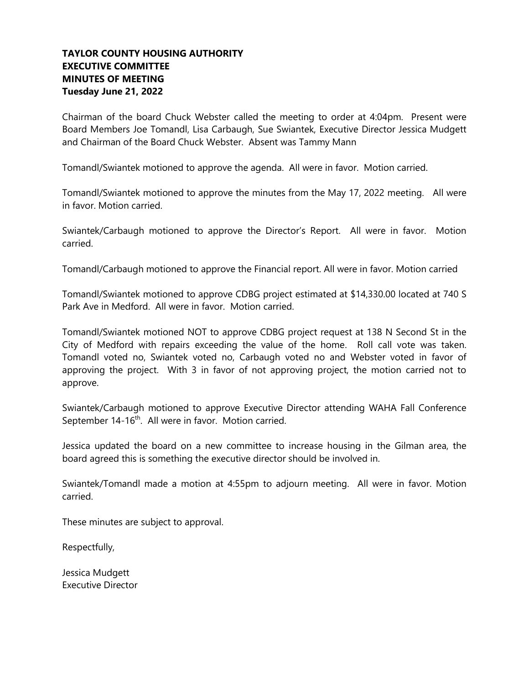## **TAYLOR COUNTY HOUSING AUTHORITY EXECUTIVE COMMITTEE MINUTES OF MEETING Tuesday June 21, 2022**

Chairman of the board Chuck Webster called the meeting to order at 4:04pm. Present were Board Members Joe Tomandl, Lisa Carbaugh, Sue Swiantek, Executive Director Jessica Mudgett and Chairman of the Board Chuck Webster. Absent was Tammy Mann

Tomandl/Swiantek motioned to approve the agenda. All were in favor. Motion carried.

Tomandl/Swiantek motioned to approve the minutes from the May 17, 2022 meeting. All were in favor. Motion carried.

Swiantek/Carbaugh motioned to approve the Director's Report. All were in favor. Motion carried.

Tomandl/Carbaugh motioned to approve the Financial report. All were in favor. Motion carried

Tomandl/Swiantek motioned to approve CDBG project estimated at \$14,330.00 located at 740 S Park Ave in Medford. All were in favor. Motion carried.

Tomandl/Swiantek motioned NOT to approve CDBG project request at 138 N Second St in the City of Medford with repairs exceeding the value of the home. Roll call vote was taken. Tomandl voted no, Swiantek voted no, Carbaugh voted no and Webster voted in favor of approving the project. With 3 in favor of not approving project, the motion carried not to approve.

Swiantek/Carbaugh motioned to approve Executive Director attending WAHA Fall Conference September 14-16<sup>th</sup>. All were in favor. Motion carried.

Jessica updated the board on a new committee to increase housing in the Gilman area, the board agreed this is something the executive director should be involved in.

Swiantek/Tomandl made a motion at 4:55pm to adjourn meeting. All were in favor. Motion carried.

These minutes are subject to approval.

Respectfully,

Jessica Mudgett Executive Director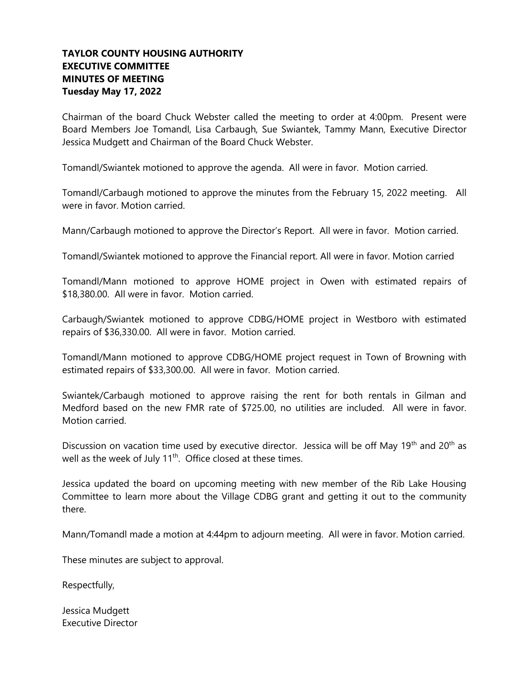## **TAYLOR COUNTY HOUSING AUTHORITY EXECUTIVE COMMITTEE MINUTES OF MEETING Tuesday May 17, 2022**

Chairman of the board Chuck Webster called the meeting to order at 4:00pm. Present were Board Members Joe Tomandl, Lisa Carbaugh, Sue Swiantek, Tammy Mann, Executive Director Jessica Mudgett and Chairman of the Board Chuck Webster.

Tomandl/Swiantek motioned to approve the agenda. All were in favor. Motion carried.

Tomandl/Carbaugh motioned to approve the minutes from the February 15, 2022 meeting. All were in favor. Motion carried.

Mann/Carbaugh motioned to approve the Director's Report. All were in favor. Motion carried.

Tomandl/Swiantek motioned to approve the Financial report. All were in favor. Motion carried

Tomandl/Mann motioned to approve HOME project in Owen with estimated repairs of \$18,380.00. All were in favor. Motion carried.

Carbaugh/Swiantek motioned to approve CDBG/HOME project in Westboro with estimated repairs of \$36,330.00. All were in favor. Motion carried.

Tomandl/Mann motioned to approve CDBG/HOME project request in Town of Browning with estimated repairs of \$33,300.00. All were in favor. Motion carried.

Swiantek/Carbaugh motioned to approve raising the rent for both rentals in Gilman and Medford based on the new FMR rate of \$725.00, no utilities are included. All were in favor. Motion carried.

Discussion on vacation time used by executive director. Jessica will be off May 19<sup>th</sup> and 20<sup>th</sup> as well as the week of July  $11<sup>th</sup>$ . Office closed at these times.

Jessica updated the board on upcoming meeting with new member of the Rib Lake Housing Committee to learn more about the Village CDBG grant and getting it out to the community there.

Mann/Tomandl made a motion at 4:44pm to adjourn meeting. All were in favor. Motion carried.

These minutes are subject to approval.

Respectfully,

Jessica Mudgett Executive Director